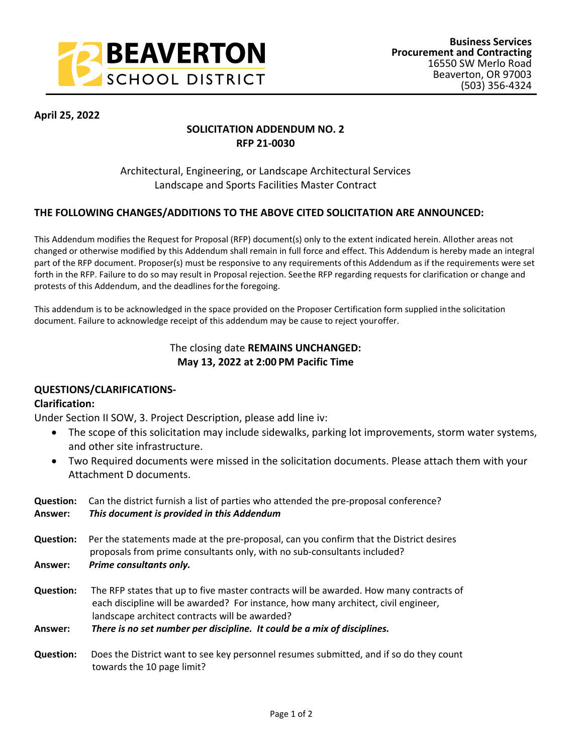

**April 25, 2022**

# **SOLICITATION ADDENDUM NO. 2 RFP 21-0030**

# Architectural, Engineering, or Landscape Architectural Services Landscape and Sports Facilities Master Contract

## **THE FOLLOWING CHANGES/ADDITIONS TO THE ABOVE CITED SOLICITATION ARE ANNOUNCED:**

This Addendum modifies the Request for Proposal (RFP) document(s) only to the extent indicated herein. All other areas not changed or otherwise modified by this Addendum shall remain in full force and effect. This Addendum is hereby made an integral part of the RFP document. Proposer(s) must be responsive to any requirements of this Addendum as if the requirements were set forth in the RFP. Failure to do so may result in Proposal rejection. See the RFP regarding requests for clarification or change and protests of this Addendum, and the deadlines for the foregoing.

This addendum is to be acknowledged in the space provided on the Proposer Certification form supplied in the solicitation document. Failure to acknowledge receipt of this addendum may be cause to reject your offer.

## The closing date **REMAINS UNCHANGED: May 13, 2022 at 2:00 PM Pacific Time**

### **QUESTIONS/CLARIFICATIONS-**

### **Clarification:**

Under Section II SOW, 3. Project Description, please add line iv:

- The scope of this solicitation may include sidewalks, parking lot improvements, storm water systems, and other site infrastructure.
- Two Required documents were missed in the solicitation documents. Please attach them with your Attachment D documents.

| <b>Question:</b><br>Answer: | Can the district furnish a list of parties who attended the pre-proposal conference?<br>This document is provided in this Addendum                                                                                             |  |  |  |  |  |  |
|-----------------------------|--------------------------------------------------------------------------------------------------------------------------------------------------------------------------------------------------------------------------------|--|--|--|--|--|--|
| <b>Question:</b>            | Per the statements made at the pre-proposal, can you confirm that the District desires<br>proposals from prime consultants only, with no sub-consultants included?                                                             |  |  |  |  |  |  |
| Answer:                     | Prime consultants only.                                                                                                                                                                                                        |  |  |  |  |  |  |
| <b>Question:</b>            | The RFP states that up to five master contracts will be awarded. How many contracts of<br>each discipline will be awarded? For instance, how many architect, civil engineer,<br>landscape architect contracts will be awarded? |  |  |  |  |  |  |
| Answer:                     | There is no set number per discipline. It could be a mix of disciplines.                                                                                                                                                       |  |  |  |  |  |  |
| <b>Question:</b>            | Does the District want to see key personnel resumes submitted, and if so do they count                                                                                                                                         |  |  |  |  |  |  |

towards the 10 page limit?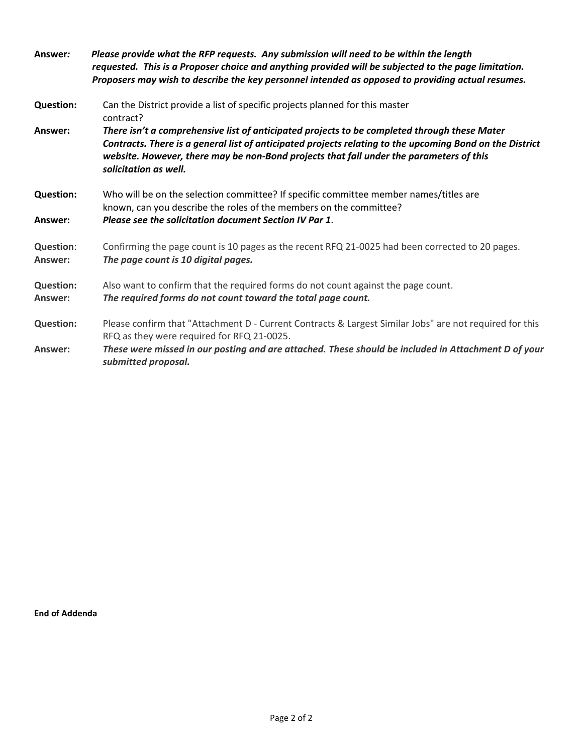| Answer:                     | Please provide what the RFP requests. Any submission will need to be within the length<br>requested. This is a Proposer choice and anything provided will be subjected to the page limitation.<br>Proposers may wish to describe the key personnel intended as opposed to providing actual resumes.                          |
|-----------------------------|------------------------------------------------------------------------------------------------------------------------------------------------------------------------------------------------------------------------------------------------------------------------------------------------------------------------------|
| <b>Question:</b>            | Can the District provide a list of specific projects planned for this master<br>contract?                                                                                                                                                                                                                                    |
| Answer:                     | There isn't a comprehensive list of anticipated projects to be completed through these Mater<br>Contracts. There is a general list of anticipated projects relating to the upcoming Bond on the District<br>website. However, there may be non-Bond projects that fall under the parameters of this<br>solicitation as well. |
| <b>Question:</b><br>Answer: | Who will be on the selection committee? If specific committee member names/titles are<br>known, can you describe the roles of the members on the committee?<br>Please see the solicitation document Section IV Par 1.                                                                                                        |
| <b>Question:</b><br>Answer: | Confirming the page count is 10 pages as the recent RFQ 21-0025 had been corrected to 20 pages.<br>The page count is 10 digital pages.                                                                                                                                                                                       |
| <b>Question:</b><br>Answer: | Also want to confirm that the required forms do not count against the page count.<br>The required forms do not count toward the total page count.                                                                                                                                                                            |
| <b>Question:</b>            | Please confirm that "Attachment D - Current Contracts & Largest Similar Jobs" are not required for this<br>RFQ as they were required for RFQ 21-0025.                                                                                                                                                                        |
| Answer:                     | These were missed in our posting and are attached. These should be included in Attachment D of your<br>submitted proposal.                                                                                                                                                                                                   |

**End of Addenda**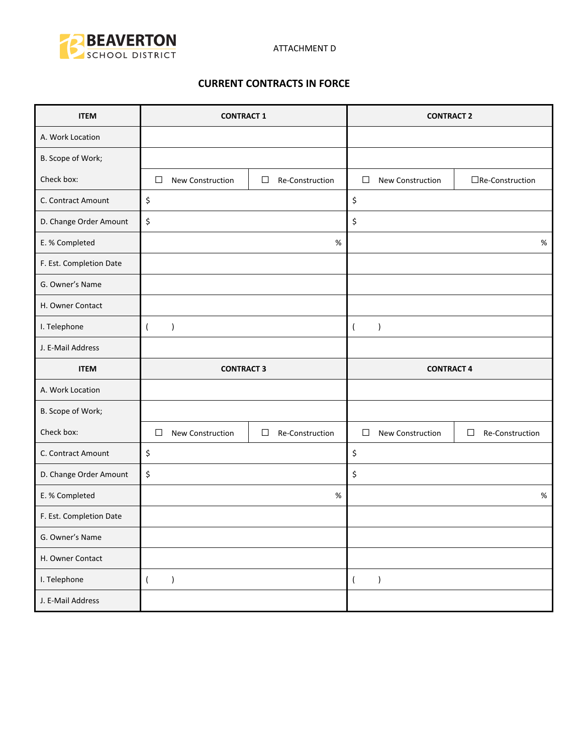

### **CURRENT CONTRACTS IN FORCE**

| <b>ITEM</b>             | <b>CONTRACT 1</b> |                  |        | <b>CONTRACT 2</b> |                   |                  |                           |
|-------------------------|-------------------|------------------|--------|-------------------|-------------------|------------------|---------------------------|
| A. Work Location        |                   |                  |        |                   |                   |                  |                           |
| B. Scope of Work;       |                   |                  |        |                   |                   |                  |                           |
| Check box:              | □                 | New Construction | □      | Re-Construction   | $\Box$            | New Construction | $\Box$ Re-Construction    |
| C. Contract Amount      | \$                |                  |        |                   | \$                |                  |                           |
| D. Change Order Amount  | \$                |                  |        |                   | \$                |                  |                           |
| E. % Completed          |                   |                  |        | %                 |                   |                  | %                         |
| F. Est. Completion Date |                   |                  |        |                   |                   |                  |                           |
| G. Owner's Name         |                   |                  |        |                   |                   |                  |                           |
| H. Owner Contact        |                   |                  |        |                   |                   |                  |                           |
| I. Telephone            | $\overline{ }$    | $\lambda$        |        |                   | $\overline{ }$    | $\lambda$        |                           |
| J. E-Mail Address       |                   |                  |        |                   |                   |                  |                           |
|                         | <b>CONTRACT 3</b> |                  |        |                   | <b>CONTRACT 4</b> |                  |                           |
| <b>ITEM</b>             |                   |                  |        |                   |                   |                  |                           |
| A. Work Location        |                   |                  |        |                   |                   |                  |                           |
| B. Scope of Work;       |                   |                  |        |                   |                   |                  |                           |
| Check box:              | □                 | New Construction | $\Box$ | Re-Construction   | $\Box$            | New Construction | $\Box$<br>Re-Construction |
| C. Contract Amount      | \$                |                  |        |                   | \$                |                  |                           |
| D. Change Order Amount  | \$                |                  |        |                   | \$                |                  |                           |
| E. % Completed          |                   |                  |        | %                 |                   |                  | $\%$                      |
| F. Est. Completion Date |                   |                  |        |                   |                   |                  |                           |
| G. Owner's Name         |                   |                  |        |                   |                   |                  |                           |
| H. Owner Contact        |                   |                  |        |                   |                   |                  |                           |
| I. Telephone            | $\overline{(}$    | $\lambda$        |        |                   | $\overline{(\ }$  | $\lambda$        |                           |